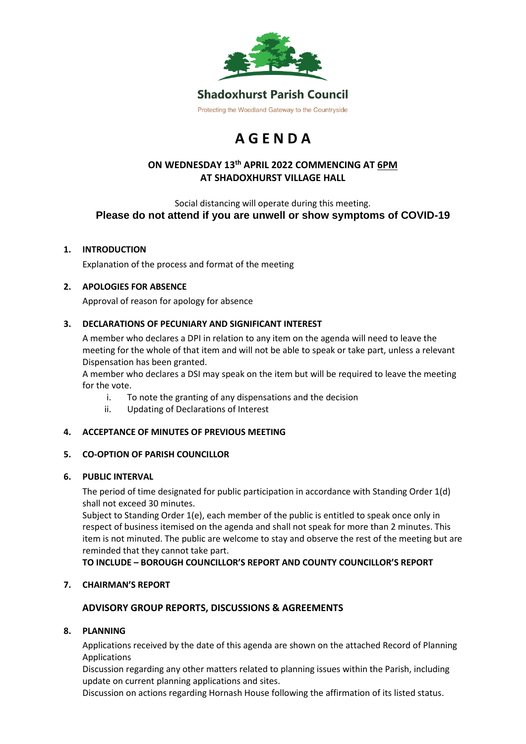

# **A G E N D A**

## **ON WEDNESDAY 13th APRIL 2022 COMMENCING AT 6PM AT SHADOXHURST VILLAGE HALL**

Social distancing will operate during this meeting. **Please do not attend if you are unwell or show symptoms of COVID-19**

#### **1. INTRODUCTION**

Explanation of the process and format of the meeting

#### **2. APOLOGIES FOR ABSENCE**

Approval of reason for apology for absence

#### **3. DECLARATIONS OF PECUNIARY AND SIGNIFICANT INTEREST**

A member who declares a DPI in relation to any item on the agenda will need to leave the meeting for the whole of that item and will not be able to speak or take part, unless a relevant Dispensation has been granted.

A member who declares a DSI may speak on the item but will be required to leave the meeting for the vote.

- i. To note the granting of any dispensations and the decision
- ii. Updating of Declarations of Interest

#### **4. ACCEPTANCE OF MINUTES OF PREVIOUS MEETING**

#### **5. CO-OPTION OF PARISH COUNCILLOR**

#### **6. PUBLIC INTERVAL**

The period of time designated for public participation in accordance with Standing Order 1(d) shall not exceed 30 minutes.

Subject to Standing Order 1(e), each member of the public is entitled to speak once only in respect of business itemised on the agenda and shall not speak for more than 2 minutes. This item is not minuted. The public are welcome to stay and observe the rest of the meeting but are reminded that they cannot take part.

**TO INCLUDE – BOROUGH COUNCILLOR'S REPORT AND COUNTY COUNCILLOR'S REPORT**

#### **7. CHAIRMAN'S REPORT**

#### **ADVISORY GROUP REPORTS, DISCUSSIONS & AGREEMENTS**

#### **8. PLANNING**

Applications received by the date of this agenda are shown on the attached Record of Planning Applications

Discussion regarding any other matters related to planning issues within the Parish, including update on current planning applications and sites.

Discussion on actions regarding Hornash House following the affirmation of its listed status.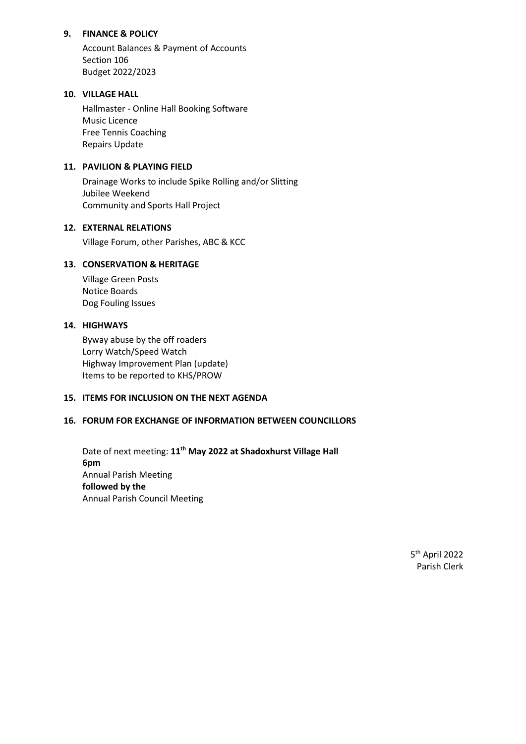#### **9. FINANCE & POLICY**

Account Balances & Payment of Accounts Section 106 Budget 2022/2023

#### **10. VILLAGE HALL**

Hallmaster - Online Hall Booking Software Music Licence Free Tennis Coaching Repairs Update

#### **11. PAVILION & PLAYING FIELD**

Drainage Works to include Spike Rolling and/or Slitting Jubilee Weekend Community and Sports Hall Project

#### **12. EXTERNAL RELATIONS**

Village Forum, other Parishes, ABC & KCC

#### **13. CONSERVATION & HERITAGE**

Village Green Posts Notice Boards Dog Fouling Issues

#### **14. HIGHWAYS**

Byway abuse by the off roaders Lorry Watch/Speed Watch Highway Improvement Plan (update) Items to be reported to KHS/PROW

#### **15. ITEMS FOR INCLUSION ON THE NEXT AGENDA**

#### **16. FORUM FOR EXCHANGE OF INFORMATION BETWEEN COUNCILLORS**

Date of next meeting: **11 th May 2022 at Shadoxhurst Village Hall 6pm**  Annual Parish Meeting **followed by the** Annual Parish Council Meeting

> 5 th April 2022 Parish Clerk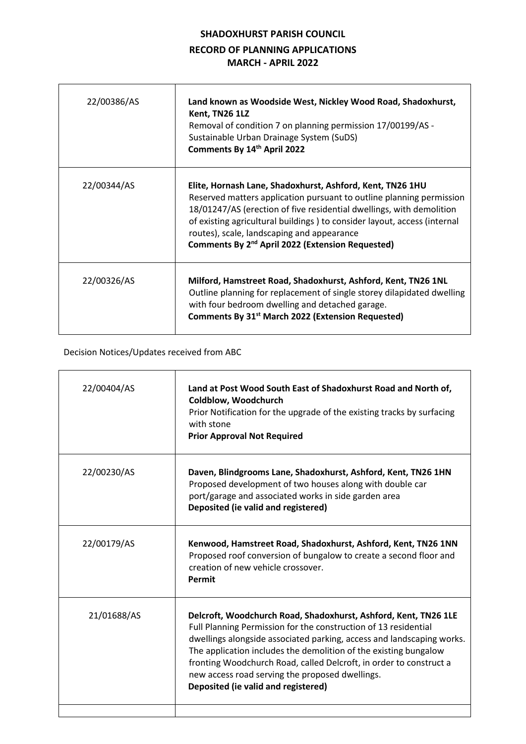# **SHADOXHURST PARISH COUNCIL RECORD OF PLANNING APPLICATIONS MARCH - APRIL 2022**

 $\overline{\phantom{a}}$ 

| 22/00386/AS | Land known as Woodside West, Nickley Wood Road, Shadoxhurst,<br>Kent, TN26 1LZ<br>Removal of condition 7 on planning permission 17/00199/AS -<br>Sustainable Urban Drainage System (SuDS)<br>Comments By 14th April 2022                                                                                                                                                                             |
|-------------|------------------------------------------------------------------------------------------------------------------------------------------------------------------------------------------------------------------------------------------------------------------------------------------------------------------------------------------------------------------------------------------------------|
| 22/00344/AS | Elite, Hornash Lane, Shadoxhurst, Ashford, Kent, TN26 1HU<br>Reserved matters application pursuant to outline planning permission<br>18/01247/AS (erection of five residential dwellings, with demolition<br>of existing agricultural buildings ) to consider layout, access (internal<br>routes), scale, landscaping and appearance<br>Comments By 2 <sup>nd</sup> April 2022 (Extension Requested) |
| 22/00326/AS | Milford, Hamstreet Road, Shadoxhurst, Ashford, Kent, TN26 1NL<br>Outline planning for replacement of single storey dilapidated dwelling<br>with four bedroom dwelling and detached garage.<br>Comments By 31 <sup>st</sup> March 2022 (Extension Requested)                                                                                                                                          |

## Decision Notices/Updates received from ABC

 $\overline{1}$ 

| 22/00404/AS | Land at Post Wood South East of Shadoxhurst Road and North of,<br>Coldblow, Woodchurch<br>Prior Notification for the upgrade of the existing tracks by surfacing<br>with stone<br><b>Prior Approval Not Required</b>                                                                                                                                                                                                                            |
|-------------|-------------------------------------------------------------------------------------------------------------------------------------------------------------------------------------------------------------------------------------------------------------------------------------------------------------------------------------------------------------------------------------------------------------------------------------------------|
| 22/00230/AS | Daven, Blindgrooms Lane, Shadoxhurst, Ashford, Kent, TN26 1HN<br>Proposed development of two houses along with double car<br>port/garage and associated works in side garden area<br>Deposited (ie valid and registered)                                                                                                                                                                                                                        |
| 22/00179/AS | Kenwood, Hamstreet Road, Shadoxhurst, Ashford, Kent, TN26 1NN<br>Proposed roof conversion of bungalow to create a second floor and<br>creation of new vehicle crossover.<br>Permit                                                                                                                                                                                                                                                              |
| 21/01688/AS | Delcroft, Woodchurch Road, Shadoxhurst, Ashford, Kent, TN26 1LE<br>Full Planning Permission for the construction of 13 residential<br>dwellings alongside associated parking, access and landscaping works.<br>The application includes the demolition of the existing bungalow<br>fronting Woodchurch Road, called Delcroft, in order to construct a<br>new access road serving the proposed dwellings.<br>Deposited (ie valid and registered) |